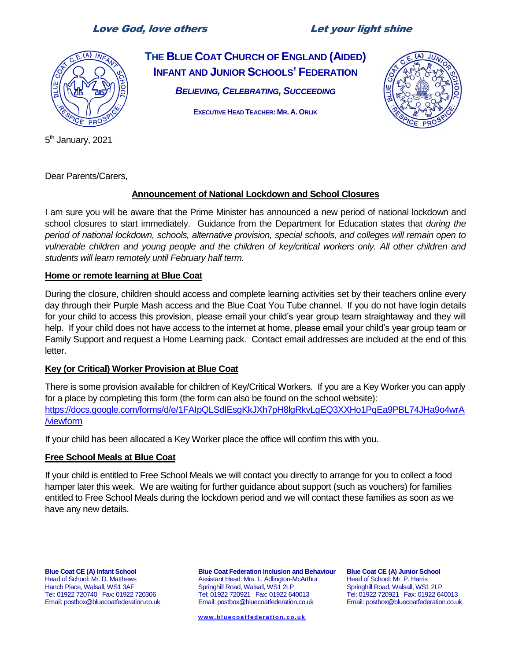# Love God, love others Let your light shine



**THE BLUE COAT CHURCH OF ENGLAND (AIDED) INFANT AND JUNIOR SCHOOLS' FEDERATION** *BELIEVING, CELEBRATING, SUCCEEDING*

**EXECUTIVE HEAD TEACHER: MR. A. ORLIK**



5<sup>th</sup> January, 2021

Dear Parents/Carers,

# **Announcement of National Lockdown and School Closures**

I am sure you will be aware that the Prime Minister has announced a new period of national lockdown and school closures to start immediately. Guidance from the Department for Education states that *during the period of national lockdown, schools, alternative provision, special schools, and colleges will remain open to vulnerable children and young people and the children of key/critical [workers](https://www.gov.uk/government/publications/coronavirus-covid-19-maintaining-educational-provision?utm_source=4%20January%202021%20C19&utm_medium=Daily%20Email%20C19&utm_campaign=DfE%20C19) only. All other children and students will learn remotely until February half term.*

#### **Home or remote learning at Blue Coat**

During the closure, children should access and complete learning activities set by their teachers online every day through their Purple Mash access and the Blue Coat You Tube channel. If you do not have login details for your child to access this provision, please email your child's year group team straightaway and they will help. If your child does not have access to the internet at home, please email your child's year group team or Family Support and request a Home Learning pack. Contact email addresses are included at the end of this letter.

# **Key (or Critical) Worker Provision at Blue Coat**

There is some provision available for children of Key/Critical Workers. If you are a Key Worker you can apply for a place by completing this form (the form can also be found on the school website): [https://docs.google.com/forms/d/e/1FAIpQLSdIEsgKkJXh7pH8lgRkvLgEQ3XXHo1PqEa9PBL74JHa9o4wrA](https://docs.google.com/forms/d/e/1FAIpQLSdIEsgKkJXh7pH8lgRkvLgEQ3XXHo1PqEa9PBL74JHa9o4wrA/viewform) [/viewform](https://docs.google.com/forms/d/e/1FAIpQLSdIEsgKkJXh7pH8lgRkvLgEQ3XXHo1PqEa9PBL74JHa9o4wrA/viewform)

If your child has been allocated a Key Worker place the office will confirm this with you.

# **Free School Meals at Blue Coat**

If your child is entitled to Free School Meals we will contact you directly to arrange for you to collect a food hamper later this week. We are waiting for further guidance about support (such as vouchers) for families entitled to Free School Meals during the lockdown period and we will contact these families as soon as we have any new details.

**Blue Coat CE (A) Infant School** Head of School: Mr. D. Matthews Hanch Place, Walsall, WS1 3AF Tel: 01922 720740 Fax: 01922 720306 Email: postbox@bluecoatfederation.co.uk

**Blue Coat Federation Inclusion and Behaviour** Assistant Head: Mrs. L. Adlington-McArthur Springhill Road, Walsall, WS1 2LP Tel: 01922 720921 Fax: 01922 640013 Email: postbox@bluecoatfederation.co.uk

**Blue Coat CE (A) Junior School** Head of School: Mr. P. Harris Springhill Road, Walsall, WS1 2LP Tel: 01922 720921 Fax: 01922 640013 Email: postbox@bluecoatfederation.co.uk

**[ww w . bl u e c oa t f e d er a t i o n. c o. u k](http://www.bluecoatfederation.co.uk/)**